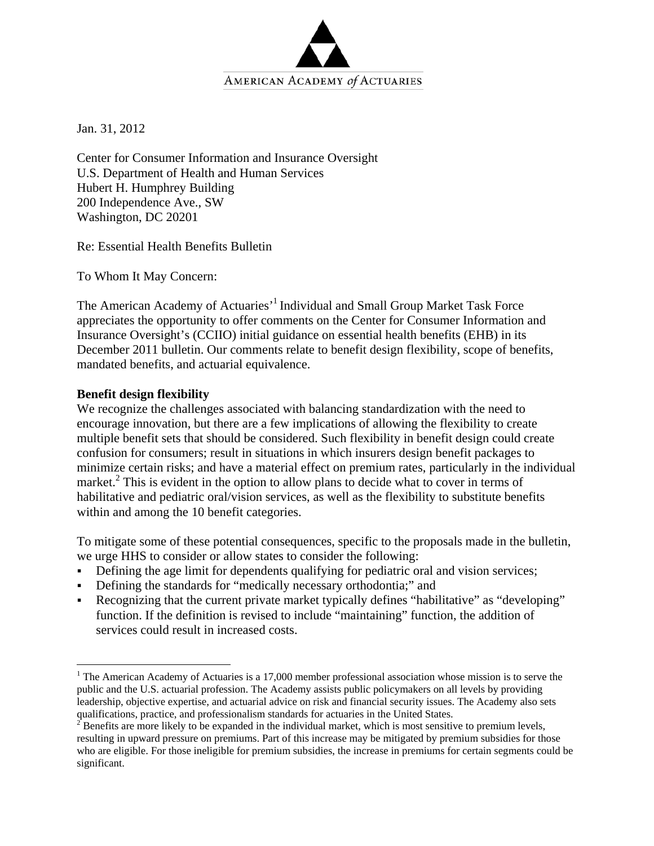

Jan. 31, 2012

Center for Consumer Information and Insurance Oversight U.S. Department of Health and Human Services Hubert H. Humphrey Building 200 Independence Ave., SW Washington, DC 20201

Re: Essential Health Benefits Bulletin

To Whom It May Concern:

The American Academy of Actuaries'<sup>1</sup> Individual and Small Group Market Task Force appreciates the opportunity to offer comments on the Center for Consumer Information and Insurance Oversight's (CCIIO) initial guidance on essential health benefits (EHB) in its December 2011 bulletin. Our comments relate to benefit design flexibility, scope of benefits, mandated benefits, and actuarial equivalence.

## **Benefit design flexibility**

 $\overline{a}$ 

We recognize the challenges associated with balancing standardization with the need to encourage innovation, but there are a few implications of allowing the flexibility to create multiple benefit sets that should be considered. Such flexibility in benefit design could create confusion for consumers; result in situations in which insurers design benefit packages to minimize certain risks; and have a material effect on premium rates, particularly in the individual market.<sup>2</sup> This is evident in the option to allow plans to decide what to cover in terms of habilitative and pediatric oral/vision services, as well as the flexibility to substitute benefits within and among the 10 benefit categories.

To mitigate some of these potential consequences, specific to the proposals made in the bulletin, we urge HHS to consider or allow states to consider the following:

- Defining the age limit for dependents qualifying for pediatric oral and vision services;
- Defining the standards for "medically necessary orthodontia;" and
- Recognizing that the current private market typically defines "habilitative" as "developing" function. If the definition is revised to include "maintaining" function, the addition of services could result in increased costs.

<sup>&</sup>lt;sup>1</sup> The American Academy of Actuaries is a 17,000 member professional association whose mission is to serve the public and the U.S. actuarial profession. The Academy assists public policymakers on all levels by providing leadership, objective expertise, and actuarial advice on risk and financial security issues. The Academy also sets qualifications, practice, and professionalism standards for actuaries in the United States.<br><sup>2</sup> Benefits are more likely to be expanded in the individual market, which is most sensitive to premium levels,

resulting in upward pressure on premiums. Part of this increase may be mitigated by premium subsidies for those who are eligible. For those ineligible for premium subsidies, the increase in premiums for certain segments could be significant.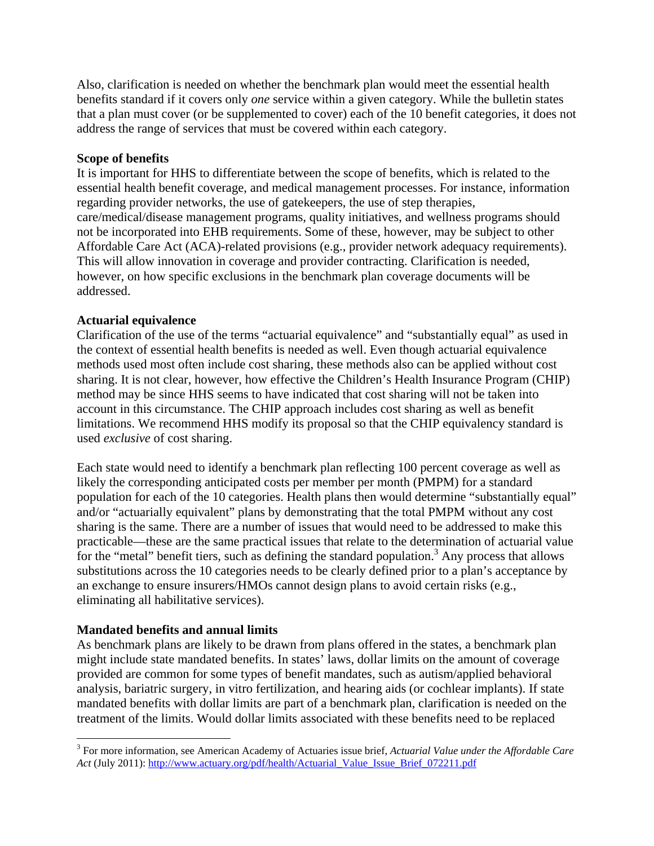Also, clarification is needed on whether the benchmark plan would meet the essential health benefits standard if it covers only *one* service within a given category. While the bulletin states that a plan must cover (or be supplemented to cover) each of the 10 benefit categories, it does not address the range of services that must be covered within each category.

#### **Scope of benefits**

It is important for HHS to differentiate between the scope of benefits, which is related to the essential health benefit coverage, and medical management processes. For instance, information regarding provider networks, the use of gatekeepers, the use of step therapies, care/medical/disease management programs, quality initiatives, and wellness programs should not be incorporated into EHB requirements. Some of these, however, may be subject to other Affordable Care Act (ACA)-related provisions (e.g., provider network adequacy requirements). This will allow innovation in coverage and provider contracting. Clarification is needed, however, on how specific exclusions in the benchmark plan coverage documents will be addressed.

## **Actuarial equivalence**

Clarification of the use of the terms "actuarial equivalence" and "substantially equal" as used in the context of essential health benefits is needed as well. Even though actuarial equivalence methods used most often include cost sharing, these methods also can be applied without cost sharing. It is not clear, however, how effective the Children's Health Insurance Program (CHIP) method may be since HHS seems to have indicated that cost sharing will not be taken into account in this circumstance. The CHIP approach includes cost sharing as well as benefit limitations. We recommend HHS modify its proposal so that the CHIP equivalency standard is used *exclusive* of cost sharing.

Each state would need to identify a benchmark plan reflecting 100 percent coverage as well as likely the corresponding anticipated costs per member per month (PMPM) for a standard population for each of the 10 categories. Health plans then would determine "substantially equal" and/or "actuarially equivalent" plans by demonstrating that the total PMPM without any cost sharing is the same. There are a number of issues that would need to be addressed to make this practicable—these are the same practical issues that relate to the determination of actuarial value for the "metal" benefit tiers, such as defining the standard population.<sup>3</sup> Any process that allows substitutions across the 10 categories needs to be clearly defined prior to a plan's acceptance by an exchange to ensure insurers/HMOs cannot design plans to avoid certain risks (e.g., eliminating all habilitative services).

# **Mandated benefits and annual limits**

1

As benchmark plans are likely to be drawn from plans offered in the states, a benchmark plan might include state mandated benefits. In states' laws, dollar limits on the amount of coverage provided are common for some types of benefit mandates, such as autism/applied behavioral analysis, bariatric surgery, in vitro fertilization, and hearing aids (or cochlear implants). If state mandated benefits with dollar limits are part of a benchmark plan, clarification is needed on the treatment of the limits. Would dollar limits associated with these benefits need to be replaced

<sup>3</sup> For more information, see American Academy of Actuaries issue brief, *Actuarial Value under the Affordable Care Act* (July 2011): http://www.actuary.org/pdf/health/Actuarial\_Value\_Issue\_Brief\_072211.pdf